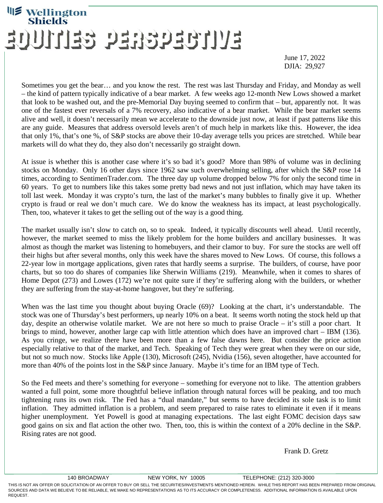## **Wellington**<br>Shields EVITUESCECES GEITIUGE

June 17, 2022 DJIA: 29,927

Sometimes you get the bear… and you know the rest. The rest was last Thursday and Friday, and Monday as well – the kind of pattern typically indicative of a bear market. A few weeks ago 12-month New Lows showed a market that look to be washed out, and the pre-Memorial Day buying seemed to confirm that – but, apparently not. It was one of the fastest ever reversals of a 7% recovery, also indicative of a bear market. While the bear market seems alive and well, it doesn't necessarily mean we accelerate to the downside just now, at least if past patterns like this are any guide. Measures that address oversold levels aren't of much help in markets like this. However, the idea that only 1%, that's one %, of S&P stocks are above their 10-day average tells you prices are stretched. While bear markets will do what they do, they also don't necessarily go straight down.

At issue is whether this is another case where it's so bad it's good? More than 98% of volume was in declining stocks on Monday. Only 16 other days since 1962 saw such overwhelming selling, after which the S&P rose 14 times, according to SentimenTrader.com. The three day up volume dropped below 7% for only the second time in 60 years. To get to numbers like this takes some pretty bad news and not just inflation, which may have taken its toll last week. Monday it was crypto's turn, the last of the market's many bubbles to finally give it up. Whether crypto is fraud or real we don't much care. We do know the weakness has its impact, at least psychologically. Then, too, whatever it takes to get the selling out of the way is a good thing.

The market usually isn't slow to catch on, so to speak. Indeed, it typically discounts well ahead. Until recently, however, the market seemed to miss the likely problem for the home builders and ancillary businesses. It was almost as though the market was listening to homebuyers, and their clamor to buy. For sure the stocks are well off their highs but after several months, only this week have the shares moved to New Lows. Of course, this follows a 22-year low in mortgage applications, given rates that hardly seems a surprise. The builders, of course, have poor charts, but so too do shares of companies like Sherwin Williams (219). Meanwhile, when it comes to shares of Home Depot (273) and Lowes (172) we're not quite sure if they're suffering along with the builders, or whether they are suffering from the stay-at-home hangover, but they're suffering.

When was the last time you thought about buying Oracle (69)? Looking at the chart, it's understandable. The stock was one of Thursday's best performers, up nearly 10% on a beat. It seems worth noting the stock held up that day, despite an otherwise volatile market. We are not here so much to praise Oracle – it's still a poor chart. It brings to mind, however, another large cap with little attention which does have an improved chart – IBM (136). As you cringe, we realize there have been more than a few false dawns here. But consider the price action especially relative to that of the market, and Tech. Speaking of Tech they were great when they were on our side, but not so much now. Stocks like Apple (130), Microsoft (245), Nvidia (156), seven altogether, have accounted for more than 40% of the points lost in the S&P since January. Maybe it's time for an IBM type of Tech.

So the Fed meets and there's something for everyone – something for everyone not to like. The attention grabbers wanted a full point, some more thoughtful believe inflation through natural forces will be peaking, and too much tightening runs its own risk. The Fed has a "dual mandate," but seems to have decided its sole task is to limit inflation. They admitted inflation is a problem, and seem prepared to raise rates to eliminate it even if it means higher unemployment. Yet Powell is good at managing expectations. The last eight FOMC decision days saw good gains on six and flat action the other two. Then, too, this is within the context of a 20% decline in the S&P. Rising rates are not good.

Frank D. Gretz

<sup>140</sup> BROADWAY NEW YORK, NY 10005 TELEPHONE: (212) 320-3000 THIS IS NOT AN OFFER OR SOLICITATION OF AN OFFER TO BUY OR SELL THE SECURITIES/INVESTMENTS MENTIONED HEREIN. WHILE THIS REPORT HAS BEEN PREPARED FROM ORIGINAL SOURCES AND DATA WE BELIEVE TO BE RELIABLE, WE MAKE NO REPRESENTATIONS AS TO ITS ACCURACY OR COMPLETENESS. ADDITIONAL INFORMATION IS AVAILABLE UPON REQUEST.